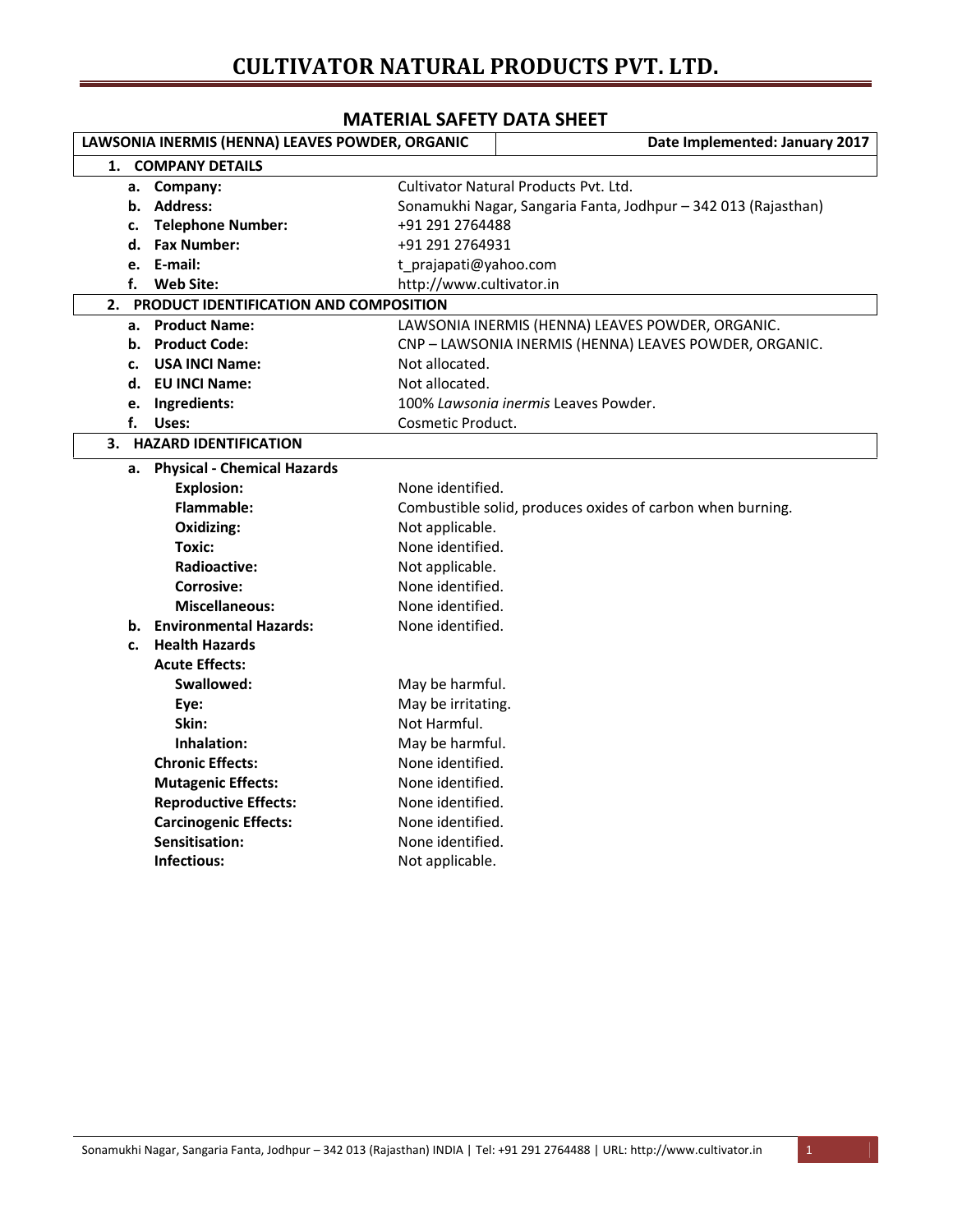## **CULTIVATOR NATURAL PRODUCTS PVT. LTD.**

|    | IVIAILINALJAI LII <i>V</i> AIA JIILLI<br>LAWSONIA INERMIS (HENNA) LEAVES POWDER, ORGANIC | Date Implemented: January 2017                                 |
|----|------------------------------------------------------------------------------------------|----------------------------------------------------------------|
| 1. | <b>COMPANY DETAILS</b>                                                                   |                                                                |
|    | a. Company:                                                                              | Cultivator Natural Products Pvt. Ltd.                          |
|    | b. Address:                                                                              | Sonamukhi Nagar, Sangaria Fanta, Jodhpur - 342 013 (Rajasthan) |
| c. | <b>Telephone Number:</b>                                                                 | +91 291 2764488                                                |
|    | d. Fax Number:                                                                           | +91 291 2764931                                                |
|    | e. E-mail:                                                                               | t_prajapati@yahoo.com                                          |
| f. | Web Site:                                                                                | http://www.cultivator.in                                       |
| 2. | PRODUCT IDENTIFICATION AND COMPOSITION                                                   |                                                                |
|    | a. Product Name:                                                                         | LAWSONIA INERMIS (HENNA) LEAVES POWDER, ORGANIC.               |
|    | b. Product Code:                                                                         | CNP - LAWSONIA INERMIS (HENNA) LEAVES POWDER, ORGANIC.         |
| c. | <b>USA INCI Name:</b>                                                                    | Not allocated.                                                 |
|    | d. EU INCI Name:                                                                         | Not allocated.                                                 |
| e. | Ingredients:                                                                             | 100% Lawsonia inermis Leaves Powder.                           |
| f. | Uses:                                                                                    | Cosmetic Product.                                              |
| 3. | <b>HAZARD IDENTIFICATION</b>                                                             |                                                                |
|    | a. Physical - Chemical Hazards                                                           |                                                                |
|    | <b>Explosion:</b>                                                                        | None identified.                                               |
|    | <b>Flammable:</b>                                                                        | Combustible solid, produces oxides of carbon when burning.     |
|    | Oxidizing:                                                                               | Not applicable.                                                |
|    | Toxic:                                                                                   | None identified.                                               |
|    | <b>Radioactive:</b>                                                                      | Not applicable.                                                |
|    | Corrosive:                                                                               | None identified.                                               |
|    | <b>Miscellaneous:</b>                                                                    | None identified.                                               |
| b. | <b>Environmental Hazards:</b>                                                            | None identified.                                               |
| c. | <b>Health Hazards</b>                                                                    |                                                                |
|    | <b>Acute Effects:</b>                                                                    |                                                                |
|    | Swallowed:                                                                               | May be harmful.                                                |
|    | Eye:                                                                                     | May be irritating.                                             |
|    | Skin:                                                                                    | Not Harmful.                                                   |
|    | Inhalation:                                                                              | May be harmful.                                                |
|    | <b>Chronic Effects:</b>                                                                  | None identified.                                               |
|    | <b>Mutagenic Effects:</b>                                                                | None identified.                                               |
|    | <b>Reproductive Effects:</b>                                                             | None identified.                                               |
|    | <b>Carcinogenic Effects:</b>                                                             | None identified.                                               |
|    | Sensitisation:                                                                           | None identified.                                               |
|    | Infectious:                                                                              | Not applicable.                                                |

## **MATERIAL SAFETY DATA SHEET**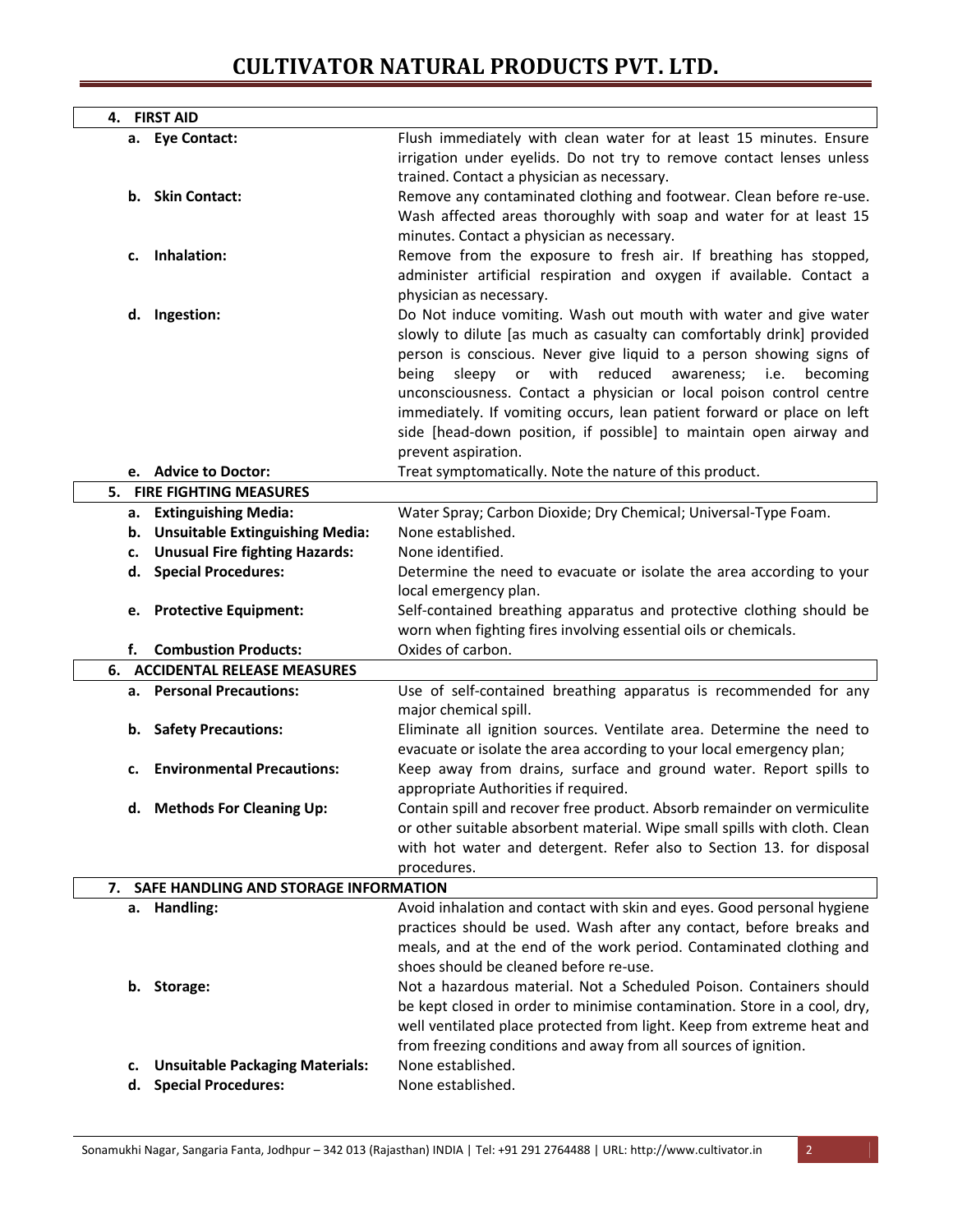## **CULTIVATOR NATURAL PRODUCTS PVT. LTD.**

|    | 4. FIRST AID                                       |                                                                                                                                                                                                                                                                                                                                                                                                                                                                                                                            |
|----|----------------------------------------------------|----------------------------------------------------------------------------------------------------------------------------------------------------------------------------------------------------------------------------------------------------------------------------------------------------------------------------------------------------------------------------------------------------------------------------------------------------------------------------------------------------------------------------|
|    | a. Eye Contact:                                    | Flush immediately with clean water for at least 15 minutes. Ensure<br>irrigation under eyelids. Do not try to remove contact lenses unless<br>trained. Contact a physician as necessary.                                                                                                                                                                                                                                                                                                                                   |
|    | b. Skin Contact:                                   | Remove any contaminated clothing and footwear. Clean before re-use.<br>Wash affected areas thoroughly with soap and water for at least 15<br>minutes. Contact a physician as necessary.                                                                                                                                                                                                                                                                                                                                    |
| c. | Inhalation:                                        | Remove from the exposure to fresh air. If breathing has stopped,<br>administer artificial respiration and oxygen if available. Contact a<br>physician as necessary.                                                                                                                                                                                                                                                                                                                                                        |
|    | d. Ingestion:                                      | Do Not induce vomiting. Wash out mouth with water and give water<br>slowly to dilute [as much as casualty can comfortably drink] provided<br>person is conscious. Never give liquid to a person showing signs of<br>sleepy or with reduced awareness; i.e. becoming<br>being<br>unconsciousness. Contact a physician or local poison control centre<br>immediately. If vomiting occurs, lean patient forward or place on left<br>side [head-down position, if possible] to maintain open airway and<br>prevent aspiration. |
|    | e. Advice to Doctor:                               | Treat symptomatically. Note the nature of this product.                                                                                                                                                                                                                                                                                                                                                                                                                                                                    |
|    | 5. FIRE FIGHTING MEASURES                          |                                                                                                                                                                                                                                                                                                                                                                                                                                                                                                                            |
|    | a. Extinguishing Media:                            | Water Spray; Carbon Dioxide; Dry Chemical; Universal-Type Foam.                                                                                                                                                                                                                                                                                                                                                                                                                                                            |
|    | b. Unsuitable Extinguishing Media:                 | None established.                                                                                                                                                                                                                                                                                                                                                                                                                                                                                                          |
|    | c. Unusual Fire fighting Hazards:                  | None identified.                                                                                                                                                                                                                                                                                                                                                                                                                                                                                                           |
|    | d. Special Procedures:<br>e. Protective Equipment: | Determine the need to evacuate or isolate the area according to your<br>local emergency plan.<br>Self-contained breathing apparatus and protective clothing should be                                                                                                                                                                                                                                                                                                                                                      |
| f. | <b>Combustion Products:</b>                        | worn when fighting fires involving essential oils or chemicals.<br>Oxides of carbon.                                                                                                                                                                                                                                                                                                                                                                                                                                       |
|    | <b>6. ACCIDENTAL RELEASE MEASURES</b>              |                                                                                                                                                                                                                                                                                                                                                                                                                                                                                                                            |
|    | a. Personal Precautions:                           | Use of self-contained breathing apparatus is recommended for any                                                                                                                                                                                                                                                                                                                                                                                                                                                           |
|    |                                                    | major chemical spill.                                                                                                                                                                                                                                                                                                                                                                                                                                                                                                      |
|    | b. Safety Precautions:                             | Eliminate all ignition sources. Ventilate area. Determine the need to<br>evacuate or isolate the area according to your local emergency plan;                                                                                                                                                                                                                                                                                                                                                                              |
|    | c. Environmental Precautions:                      | Keep away from drains, surface and ground water. Report spills to<br>appropriate Authorities if required.                                                                                                                                                                                                                                                                                                                                                                                                                  |
|    | d. Methods For Cleaning Up:                        | Contain spill and recover free product. Absorb remainder on vermiculite<br>or other suitable absorbent material. Wipe small spills with cloth. Clean<br>with hot water and detergent. Refer also to Section 13. for disposal                                                                                                                                                                                                                                                                                               |
|    |                                                    | procedures.                                                                                                                                                                                                                                                                                                                                                                                                                                                                                                                |
| 7. | SAFE HANDLING AND STORAGE INFORMATION              |                                                                                                                                                                                                                                                                                                                                                                                                                                                                                                                            |
|    | a. Handling:                                       | Avoid inhalation and contact with skin and eyes. Good personal hygiene<br>practices should be used. Wash after any contact, before breaks and<br>meals, and at the end of the work period. Contaminated clothing and<br>shoes should be cleaned before re-use.                                                                                                                                                                                                                                                             |
|    | b. Storage:                                        | Not a hazardous material. Not a Scheduled Poison. Containers should<br>be kept closed in order to minimise contamination. Store in a cool, dry,<br>well ventilated place protected from light. Keep from extreme heat and<br>from freezing conditions and away from all sources of ignition.                                                                                                                                                                                                                               |
| c. | <b>Unsuitable Packaging Materials:</b>             | None established.                                                                                                                                                                                                                                                                                                                                                                                                                                                                                                          |
| d. | <b>Special Procedures:</b>                         | None established.                                                                                                                                                                                                                                                                                                                                                                                                                                                                                                          |
|    |                                                    |                                                                                                                                                                                                                                                                                                                                                                                                                                                                                                                            |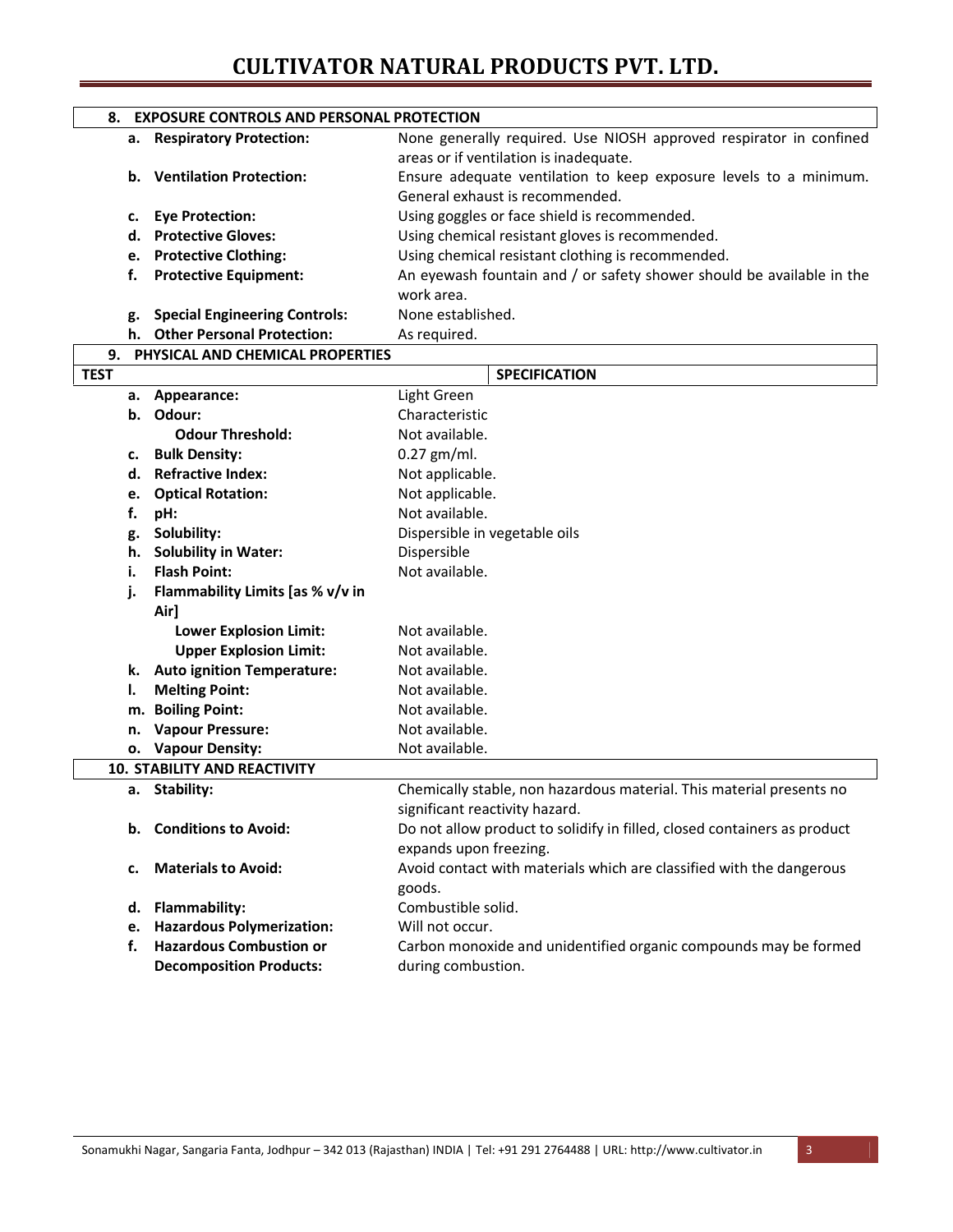## **CULTIVATOR NATURAL PRODUCTS PVT. LTD.**

|    | 8. EXPOSURE CONTROLS AND PERSONAL PROTECTION |                                                                                                              |
|----|----------------------------------------------|--------------------------------------------------------------------------------------------------------------|
|    | a. Respiratory Protection:                   | None generally required. Use NIOSH approved respirator in confined<br>areas or if ventilation is inadequate. |
|    | b. Ventilation Protection:                   | Ensure adequate ventilation to keep exposure levels to a minimum.<br>General exhaust is recommended.         |
|    | c. Eye Protection:                           | Using goggles or face shield is recommended.                                                                 |
|    | d. Protective Gloves:                        | Using chemical resistant gloves is recommended.                                                              |
|    | e. Protective Clothing:                      | Using chemical resistant clothing is recommended.                                                            |
|    | <b>Protective Equipment:</b>                 | An eyewash fountain and / or safety shower should be available in the<br>work area.                          |
| g. | <b>Special Engineering Controls:</b>         | None established.                                                                                            |
|    | h. Other Personal Protection:                | As required.                                                                                                 |

| 9.          | PHYSICAL AND CHEMICAL PROPERTIES    |                                                                          |
|-------------|-------------------------------------|--------------------------------------------------------------------------|
| <b>TEST</b> |                                     | <b>SPECIFICATION</b>                                                     |
|             | a. Appearance:                      | Light Green                                                              |
|             | b. Odour:                           | Characteristic                                                           |
|             | <b>Odour Threshold:</b>             | Not available.                                                           |
| c.          | <b>Bulk Density:</b>                | $0.27$ gm/ml.                                                            |
| d.          | <b>Refractive Index:</b>            | Not applicable.                                                          |
| е.          | <b>Optical Rotation:</b>            | Not applicable.                                                          |
| f.          | pH:                                 | Not available.                                                           |
| g.          | Solubility:                         | Dispersible in vegetable oils                                            |
| h.          | <b>Solubility in Water:</b>         | Dispersible                                                              |
| i.          | <b>Flash Point:</b>                 | Not available.                                                           |
| j.          | Flammability Limits [as % v/v in    |                                                                          |
|             | Air]                                |                                                                          |
|             | <b>Lower Explosion Limit:</b>       | Not available.                                                           |
|             | <b>Upper Explosion Limit:</b>       | Not available.                                                           |
|             | k. Auto ignition Temperature:       | Not available.                                                           |
| ı.          | <b>Melting Point:</b>               | Not available.                                                           |
| m.          | <b>Boiling Point:</b>               | Not available.                                                           |
| n.          | <b>Vapour Pressure:</b>             | Not available.                                                           |
|             | o. Vapour Density:                  | Not available.                                                           |
|             | <b>10. STABILITY AND REACTIVITY</b> |                                                                          |
|             | a. Stability:                       | Chemically stable, non hazardous material. This material presents no     |
|             |                                     | significant reactivity hazard.                                           |
| b.          | <b>Conditions to Avoid:</b>         | Do not allow product to solidify in filled, closed containers as product |
|             |                                     | expands upon freezing.                                                   |
| c.          | <b>Materials to Avoid:</b>          | Avoid contact with materials which are classified with the dangerous     |
|             |                                     | goods.                                                                   |
|             | d. Flammability:                    | Combustible solid.                                                       |
|             | e. Hazardous Polymerization:        | Will not occur.                                                          |
| f.          | <b>Hazardous Combustion or</b>      | Carbon monoxide and unidentified organic compounds may be formed         |
|             | <b>Decomposition Products:</b>      | during combustion.                                                       |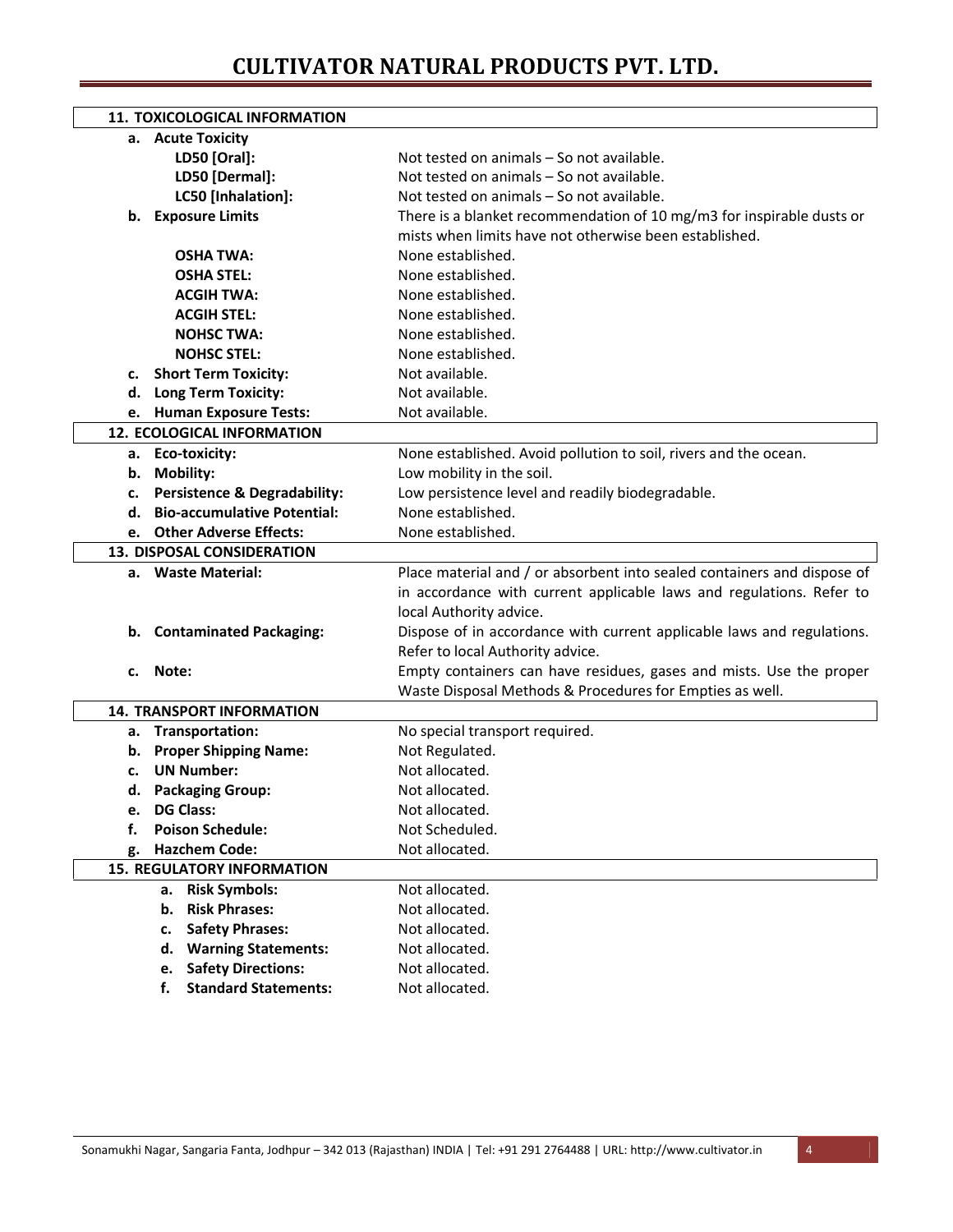|    | <b>11. TOXICOLOGICAL INFORMATION</b>    |                                                                         |
|----|-----------------------------------------|-------------------------------------------------------------------------|
|    | a. Acute Toxicity                       |                                                                         |
|    | LD50 [Oral]:                            | Not tested on animals - So not available.                               |
|    | LD50 [Dermal]:                          | Not tested on animals - So not available.                               |
|    | LC50 [Inhalation]:                      | Not tested on animals - So not available.                               |
|    | b. Exposure Limits                      | There is a blanket recommendation of 10 mg/m3 for inspirable dusts or   |
|    |                                         | mists when limits have not otherwise been established.                  |
|    | <b>OSHA TWA:</b>                        | None established.                                                       |
|    | <b>OSHA STEL:</b>                       | None established.                                                       |
|    | <b>ACGIH TWA:</b>                       | None established.                                                       |
|    | <b>ACGIH STEL:</b>                      | None established.                                                       |
|    | <b>NOHSC TWA:</b>                       | None established.                                                       |
|    | <b>NOHSC STEL:</b>                      | None established.                                                       |
| c. | <b>Short Term Toxicity:</b>             | Not available.                                                          |
|    | d. Long Term Toxicity:                  | Not available.                                                          |
|    | e. Human Exposure Tests:                | Not available.                                                          |
|    | <b>12. ECOLOGICAL INFORMATION</b>       |                                                                         |
|    | a. Eco-toxicity:                        | None established. Avoid pollution to soil, rivers and the ocean.        |
|    | b. Mobility:                            | Low mobility in the soil.                                               |
| c. | <b>Persistence &amp; Degradability:</b> | Low persistence level and readily biodegradable.                        |
| d. | <b>Bio-accumulative Potential:</b>      | None established.                                                       |
|    | e. Other Adverse Effects:               | None established.                                                       |
|    | <b>13. DISPOSAL CONSIDERATION</b>       |                                                                         |
|    | a. Waste Material:                      | Place material and / or absorbent into sealed containers and dispose of |
|    |                                         | in accordance with current applicable laws and regulations. Refer to    |
|    |                                         | local Authority advice.                                                 |
|    | b. Contaminated Packaging:              | Dispose of in accordance with current applicable laws and regulations.  |
|    |                                         | Refer to local Authority advice.                                        |
| c. | Note:                                   | Empty containers can have residues, gases and mists. Use the proper     |
|    |                                         | Waste Disposal Methods & Procedures for Empties as well.                |
|    | <b>14. TRANSPORT INFORMATION</b>        |                                                                         |
|    | a. Transportation:                      | No special transport required.                                          |
|    | b. Proper Shipping Name:                | Not Regulated.                                                          |
| c. | <b>UN Number:</b>                       | Not allocated.                                                          |
|    | d. Packaging Group:                     | Not allocated.                                                          |
| е. | <b>DG Class:</b>                        | Not allocated.                                                          |
| f. | <b>Poison Schedule:</b>                 | Not Scheduled.                                                          |
| g. | <b>Hazchem Code:</b>                    | Not allocated.                                                          |
|    | <b>15. REGULATORY INFORMATION</b>       |                                                                         |
|    | <b>Risk Symbols:</b><br>а.              | Not allocated.                                                          |
|    | <b>Risk Phrases:</b><br>b.              | Not allocated.                                                          |
|    | <b>Safety Phrases:</b><br>c.            | Not allocated.                                                          |
|    | <b>Warning Statements:</b><br>d.        | Not allocated.                                                          |
|    | <b>Safety Directions:</b><br>e.         | Not allocated.                                                          |
|    | <b>Standard Statements:</b><br>f.       | Not allocated.                                                          |